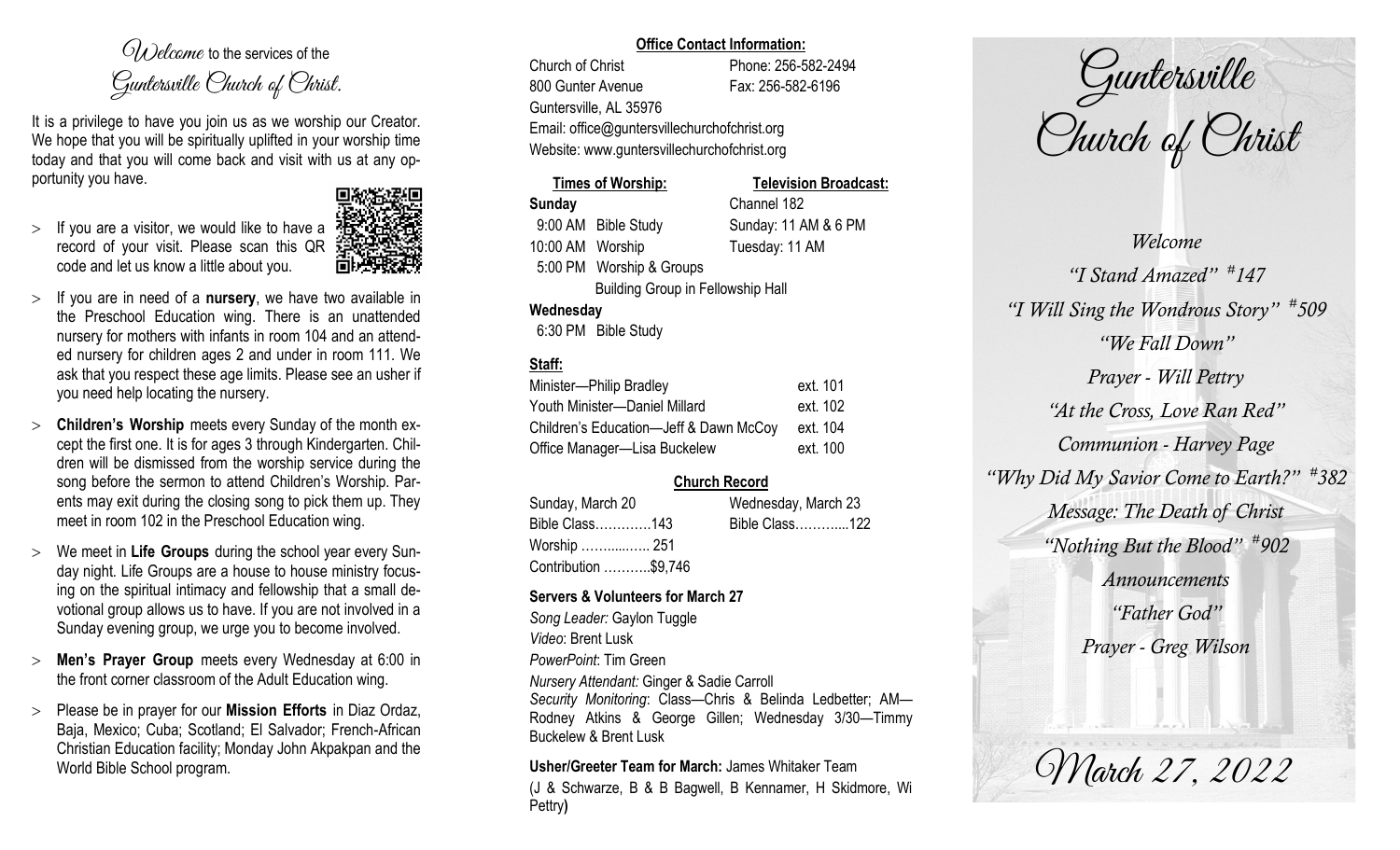$O(\lambda)$  elcame to the services of the Guntersville Church of Christ.

It is a privilege to have you join us as we worship our Creator. We hope that you will be spiritually uplifted in your worship time today and that you will come back and visit with us at any opportunity you have.

 $>$  If you are a visitor, we would like to have a record of your visit. Please scan this QR code and let us know a little about you.



- If you are in need of a **nursery**, we have two available in the Preschool Education wing. There is an unattended nursery for mothers with infants in room 104 and an attended nursery for children ages 2 and under in room 111. We ask that you respect these age limits. Please see an usher if you need help locating the nursery.
- **Children's Worship** meets every Sunday of the month except the first one. It is for ages 3 through Kindergarten. Children will be dismissed from the worship service during the song before the sermon to attend Children's Worship. Parents may exit during the closing song to pick them up. They meet in room 102 in the Preschool Education wing.
- We meet in **Life Groups** during the school year every Sunday night. Life Groups are a house to house ministry focusing on the spiritual intimacy and fellowship that a small devotional group allows us to have. If you are not involved in a Sunday evening group, we urge you to become involved.
- **Men's Prayer Group** meets every Wednesday at 6:00 in the front corner classroom of the Adult Education wing.
- Please be in prayer for our **Mission Efforts** in Diaz Ordaz, Baja, Mexico; Cuba; Scotland; El Salvador; French-African Christian Education facility; Monday John Akpakpan and the World Bible School program.

#### **Office Contact Information:**

Church of Christ Phone: 256-582-2494 800 Gunter Avenue Fax: 256-582-6196 Guntersville, AL 35976 Email: office@guntersvillechurchofchrist.org Website: www.guntersvillechurchofchrist.org

## **Times of Worship: Television Broadcast: Sunday** Channel 182 9:00 AM Bible Study Sunday: 11 AM & 6 PM

10:00 AM Worship Tuesday: 11 AM 5:00 PM Worship & Groups Building Group in Fellowship Hall

## **Wednesday**

6:30 PM Bible Study

# **Staff:**

| Minister-Philip Bradley                | ext. 101 |
|----------------------------------------|----------|
| Youth Minister-Daniel Millard          | ext. 102 |
| Children's Education-Jeff & Dawn McCoy | ext. 104 |
| Office Manager-Lisa Buckelew           | ext. 100 |

# **Church Record**

| Sunday, March 20     | Wednesday, March 23 |                |  |
|----------------------|---------------------|----------------|--|
| Bible Class143       |                     | Bible Class122 |  |
| Worship  251         |                     |                |  |
| Contribution \$9,746 |                     |                |  |

## **Servers & Volunteers for March 27**

*Song Leader:* Gaylon Tuggle *Video*: Brent Lusk *PowerPoint*: Tim Green *Nursery Attendant:* Ginger & Sadie Carroll *Security Monitoring*: Class—Chris & Belinda Ledbetter; AM— Rodney Atkins & George Gillen; Wednesday 3/30—Timmy Buckelew & Brent Lusk

## **Usher/Greeter Team for March:** James Whitaker Team

(J & Schwarze, B & B Bagwell, B Kennamer, H Skidmore, Wi Pettry**)** 

Guntersville Church of Christ

March 27, 2022 *Welcome "I Stand Amazed" # 147 "I Will Sing the Wondrous Story" # 509 "We Fall Down" Prayer - Will Pettry "At the Cross, Love Ran Red" Communion - Harvey Page "Why Did My Savior Come to Earth?" # 382 Message: The Death of Christ "Nothing But the Blood" # 902 Announcements "Father God" Prayer - Greg Wilson*